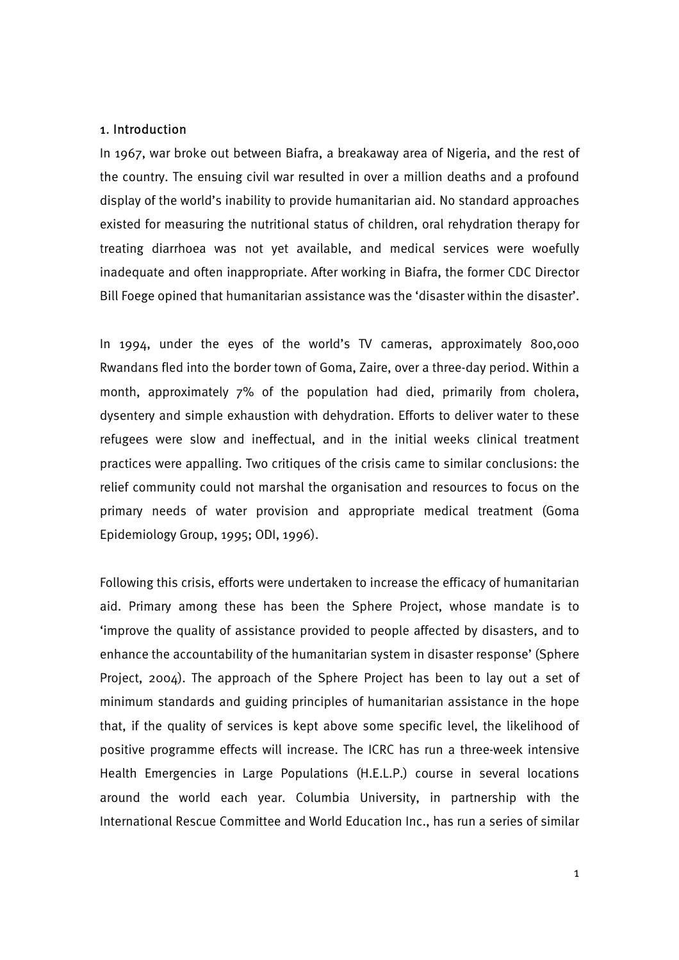### 1. Introduction

In 1967, war broke out between Biafra, a breakaway area of Nigeria, and the rest of the country. The ensuing civil war resulted in over a million deaths and a profound display of the world's inability to provide humanitarian aid. No standard approaches existed for measuring the nutritional status of children, oral rehydration therapy for treating diarrhoea was not yet available, and medical services were woefully inadequate and often inappropriate. After working in Biafra, the former CDC Director Bill Foege opined that humanitarian assistance was the 'disaster within the disaster'.

In 1994, under the eyes of the world's TV cameras, approximately 800,000 Rwandans fled into the border town of Goma, Zaire, over a three-day period. Within a month, approximately 7% of the population had died, primarily from cholera, dysentery and simple exhaustion with dehydration. Efforts to deliver water to these refugees were slow and ineffectual, and in the initial weeks clinical treatment practices were appalling. Two critiques of the crisis came to similar conclusions: the relief community could not marshal the organisation and resources to focus on the primary needs of water provision and appropriate medical treatment (Goma Epidemiology Group, 1995; ODI, 1996).

Following this crisis, efforts were undertaken to increase the efficacy of humanitarian aid. Primary among these has been the Sphere Project, whose mandate is to 'improve the quality of assistance provided to people affected by disasters, and to enhance the accountability of the humanitarian system in disaster response' (Sphere Project, 2004). The approach of the Sphere Project has been to lay out a set of minimum standards and guiding principles of humanitarian assistance in the hope that, if the quality of services is kept above some specific level, the likelihood of positive programme effects will increase. The ICRC has run a three-week intensive Health Emergencies in Large Populations (H.E.L.P.) course in several locations around the world each year. Columbia University, in partnership with the International Rescue Committee and World Education Inc., has run a series of similar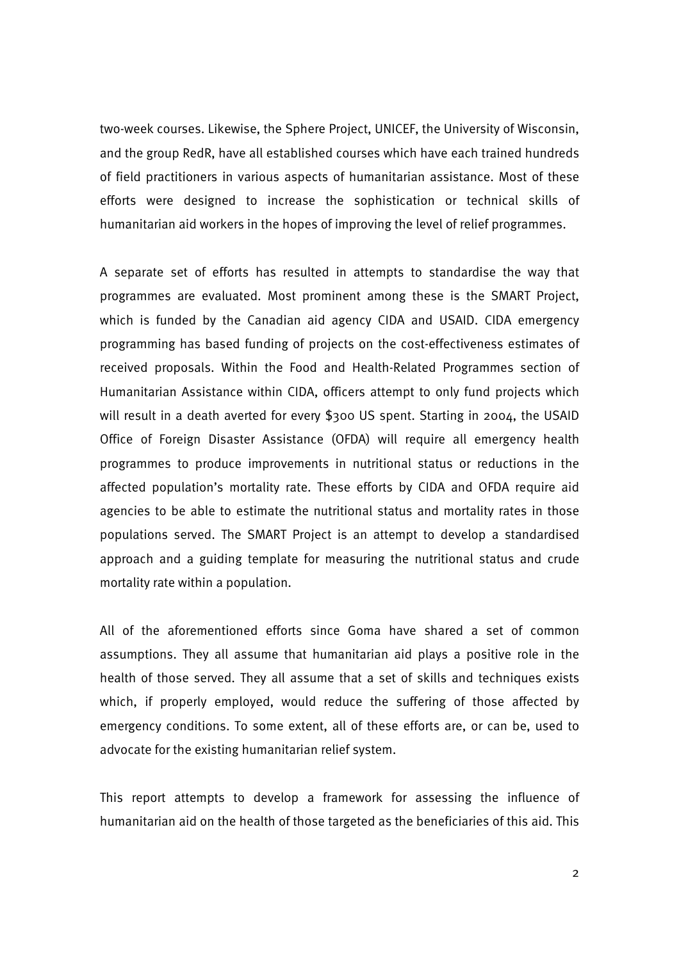two-week courses. Likewise, the Sphere Project, UNICEF, the University of Wisconsin, and the group RedR, have all established courses which have each trained hundreds of field practitioners in various aspects of humanitarian assistance. Most of these efforts were designed to increase the sophistication or technical skills of humanitarian aid workers in the hopes of improving the level of relief programmes.

A separate set of efforts has resulted in attempts to standardise the way that programmes are evaluated. Most prominent among these is the SMART Project, which is funded by the Canadian aid agency CIDA and USAID. CIDA emergency programming has based funding of projects on the cost-effectiveness estimates of received proposals. Within the Food and Health-Related Programmes section of Humanitarian Assistance within CIDA, officers attempt to only fund projects which will result in a death averted for every \$300 US spent. Starting in 2004, the USAID Office of Foreign Disaster Assistance (OFDA) will require all emergency health programmes to produce improvements in nutritional status or reductions in the affected population's mortality rate. These efforts by CIDA and OFDA require aid agencies to be able to estimate the nutritional status and mortality rates in those populations served. The SMART Project is an attempt to develop a standardised approach and a guiding template for measuring the nutritional status and crude mortality rate within a population.

All of the aforementioned efforts since Goma have shared a set of common assumptions. They all assume that humanitarian aid plays a positive role in the health of those served. They all assume that a set of skills and techniques exists which, if properly employed, would reduce the suffering of those affected by emergency conditions. To some extent, all of these efforts are, or can be, used to advocate for the existing humanitarian relief system.

This report attempts to develop a framework for assessing the influence of humanitarian aid on the health of those targeted as the beneficiaries of this aid. This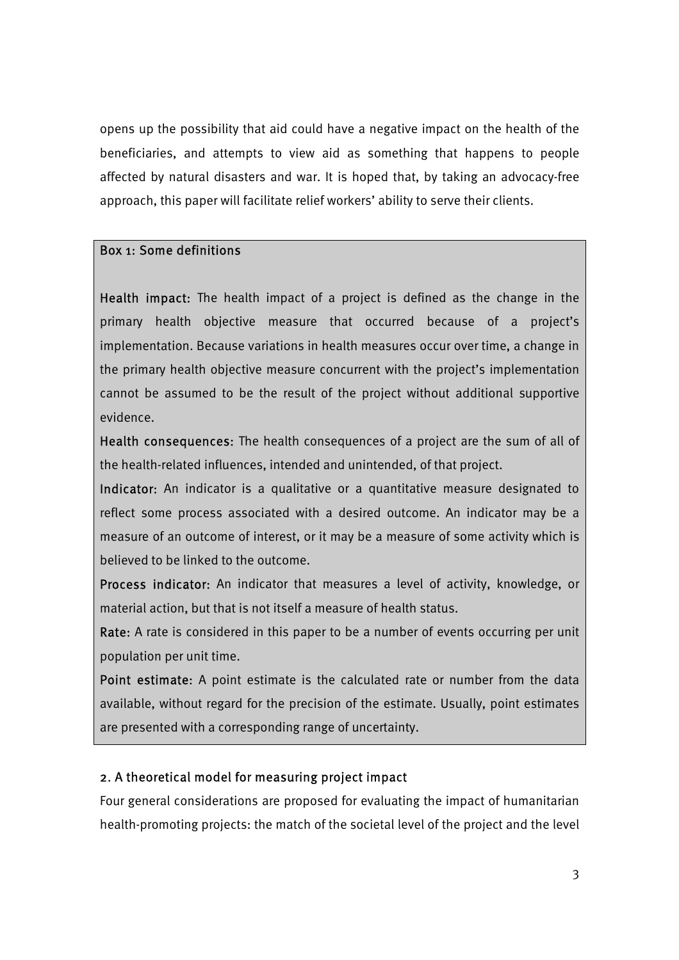opens up the possibility that aid could have a negative impact on the health of the beneficiaries, and attempts to view aid as something that happens to people affected by natural disasters and war. It is hoped that, by taking an advocacy-free approach, this paper will facilitate relief workers' ability to serve their clients.

## Box 1: Some definitions

Health impact: The health impact of a project is defined as the change in the primary health objective measure that occurred because of a project's implementation. Because variations in health measures occur over time, a change in the primary health objective measure concurrent with the project's implementation cannot be assumed to be the result of the project without additional supportive evidence.

Health consequences: The health consequences of a project are the sum of all of the health-related influences, intended and unintended, of that project.

Indicator: An indicator is a qualitative or a quantitative measure designated to reflect some process associated with a desired outcome. An indicator may be a measure of an outcome of interest, or it may be a measure of some activity which is believed to be linked to the outcome.

Process indicator: An indicator that measures a level of activity, knowledge, or material action, but that is not itself a measure of health status.

Rate: A rate is considered in this paper to be a number of events occurring per unit population per unit time.

Point estimate: A point estimate is the calculated rate or number from the data available, without regard for the precision of the estimate. Usually, point estimates are presented with a corresponding range of uncertainty.

## 2. A theoretical model for measuring project impact

Four general considerations are proposed for evaluating the impact of humanitarian health-promoting projects: the match of the societal level of the project and the level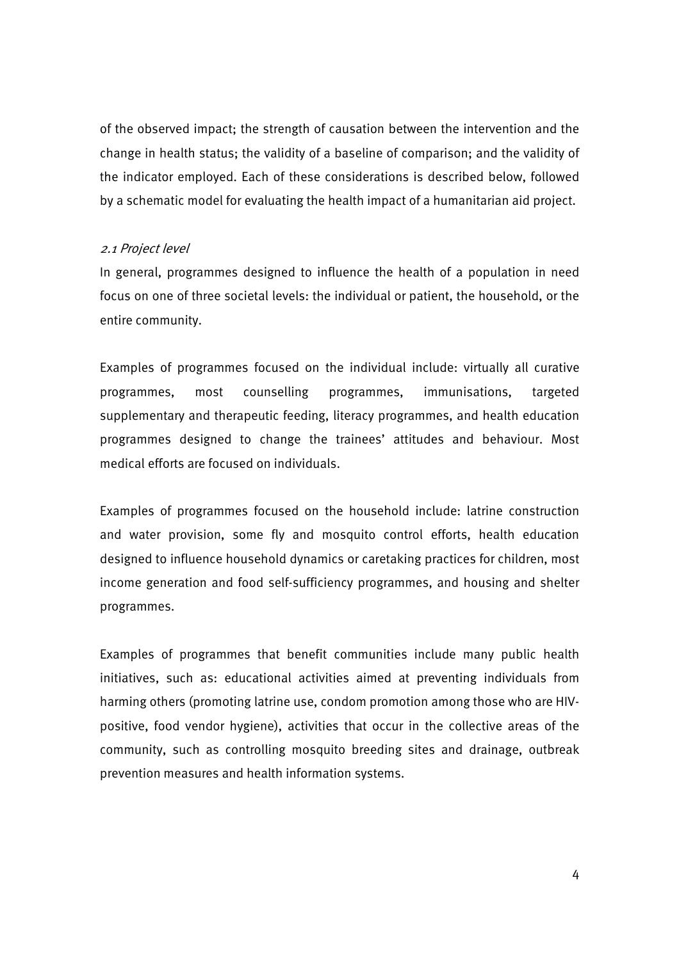of the observed impact; the strength of causation between the intervention and the change in health status; the validity of a baseline of comparison; and the validity of the indicator employed. Each of these considerations is described below, followed by a schematic model for evaluating the health impact of a humanitarian aid project.

## 2.1 Project level

In general, programmes designed to influence the health of a population in need focus on one of three societal levels: the individual or patient, the household, or the entire community.

Examples of programmes focused on the individual include: virtually all curative programmes, most counselling programmes, immunisations, targeted supplementary and therapeutic feeding, literacy programmes, and health education programmes designed to change the trainees' attitudes and behaviour. Most medical efforts are focused on individuals.

Examples of programmes focused on the household include: latrine construction and water provision, some fly and mosquito control efforts, health education designed to influence household dynamics or caretaking practices for children, most income generation and food self-sufficiency programmes, and housing and shelter programmes.

Examples of programmes that benefit communities include many public health initiatives, such as: educational activities aimed at preventing individuals from harming others (promoting latrine use, condom promotion among those who are HIVpositive, food vendor hygiene), activities that occur in the collective areas of the community, such as controlling mosquito breeding sites and drainage, outbreak prevention measures and health information systems.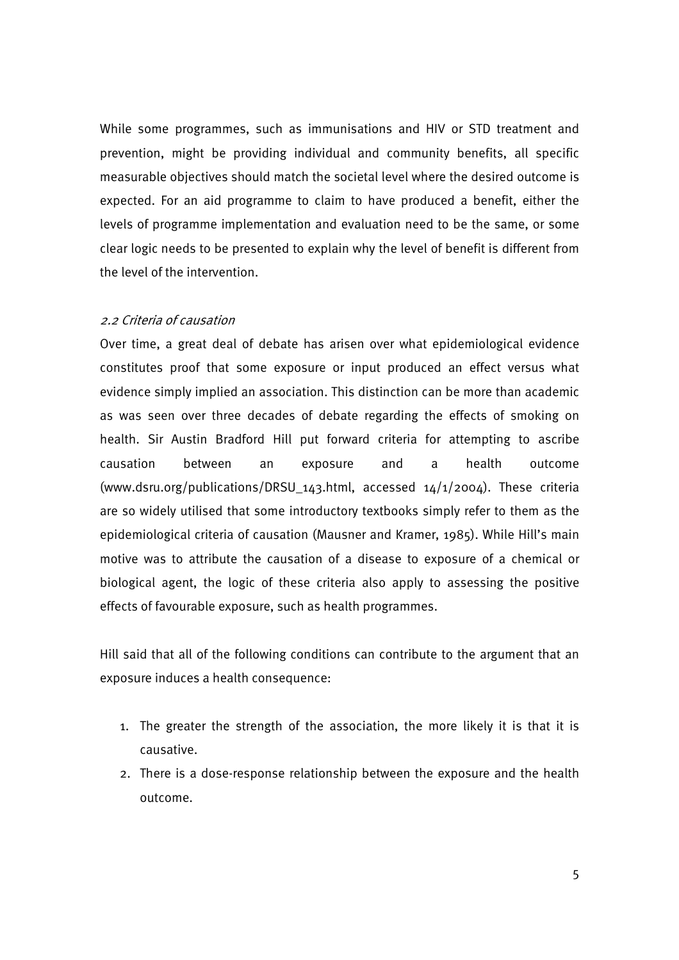While some programmes, such as immunisations and HIV or STD treatment and prevention, might be providing individual and community benefits, all specific measurable objectives should match the societal level where the desired outcome is expected. For an aid programme to claim to have produced a benefit, either the levels of programme implementation and evaluation need to be the same, or some clear logic needs to be presented to explain why the level of benefit is different from the level of the intervention.

### 2.2 Criteria of causation

Over time, a great deal of debate has arisen over what epidemiological evidence constitutes proof that some exposure or input produced an effect versus what evidence simply implied an association. This distinction can be more than academic as was seen over three decades of debate regarding the effects of smoking on health. Sir Austin Bradford Hill put forward criteria for attempting to ascribe causation between an exposure and a health outcome (www.dsru.org/publications/DRSU\_143.html, accessed 14/1/2004). These criteria are so widely utilised that some introductory textbooks simply refer to them as the epidemiological criteria of causation (Mausner and Kramer, 1985). While Hill's main motive was to attribute the causation of a disease to exposure of a chemical or biological agent, the logic of these criteria also apply to assessing the positive effects of favourable exposure, such as health programmes.

Hill said that all of the following conditions can contribute to the argument that an exposure induces a health consequence:

- 1. The greater the strength of the association, the more likely it is that it is causative.
- 2. There is a dose-response relationship between the exposure and the health outcome.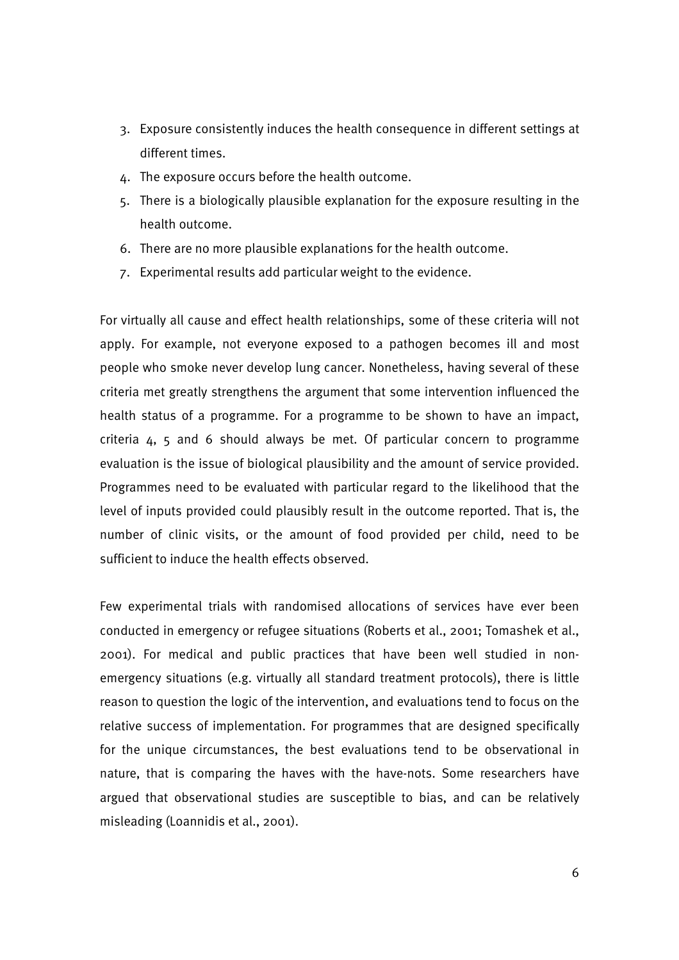- 3. Exposure consistently induces the health consequence in different settings at different times.
- 4. The exposure occurs before the health outcome.
- 5. There is a biologically plausible explanation for the exposure resulting in the health outcome.
- 6. There are no more plausible explanations for the health outcome.
- 7. Experimental results add particular weight to the evidence.

For virtually all cause and effect health relationships, some of these criteria will not apply. For example, not everyone exposed to a pathogen becomes ill and most people who smoke never develop lung cancer. Nonetheless, having several of these criteria met greatly strengthens the argument that some intervention influenced the health status of a programme. For a programme to be shown to have an impact, criteria 4, 5 and 6 should always be met. Of particular concern to programme evaluation is the issue of biological plausibility and the amount of service provided. Programmes need to be evaluated with particular regard to the likelihood that the level of inputs provided could plausibly result in the outcome reported. That is, the number of clinic visits, or the amount of food provided per child, need to be sufficient to induce the health effects observed.

Few experimental trials with randomised allocations of services have ever been conducted in emergency or refugee situations (Roberts et al., 2001; Tomashek et al., 2001). For medical and public practices that have been well studied in nonemergency situations (e.g. virtually all standard treatment protocols), there is little reason to question the logic of the intervention, and evaluations tend to focus on the relative success of implementation. For programmes that are designed specifically for the unique circumstances, the best evaluations tend to be observational in nature, that is comparing the haves with the have-nots. Some researchers have argued that observational studies are susceptible to bias, and can be relatively misleading (Loannidis et al., 2001).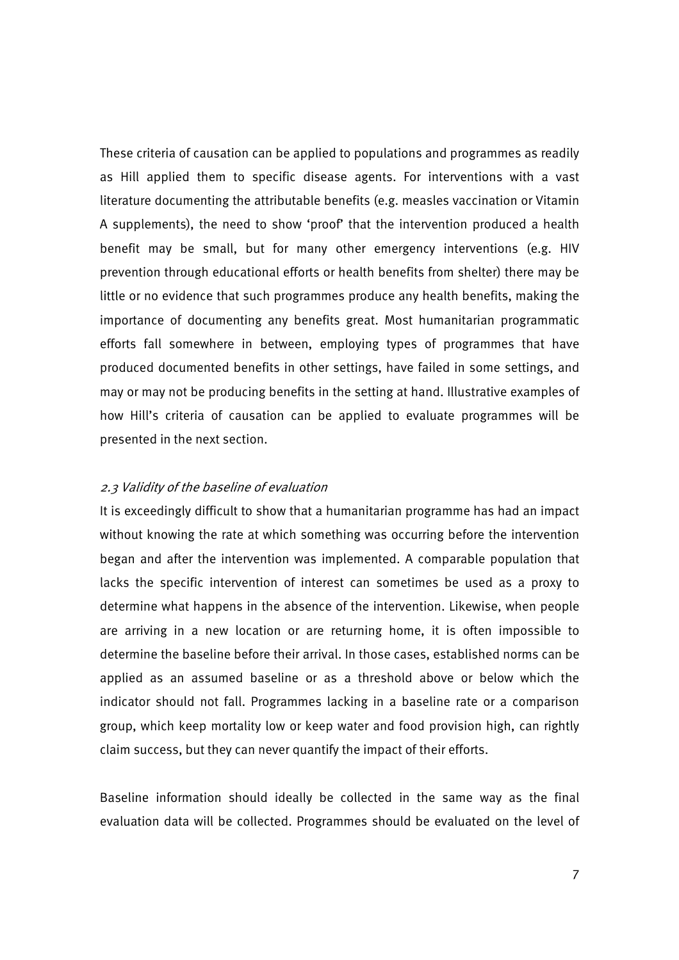These criteria of causation can be applied to populations and programmes as readily as Hill applied them to specific disease agents. For interventions with a vast literature documenting the attributable benefits (e.g. measles vaccination or Vitamin A supplements), the need to show 'proof' that the intervention produced a health benefit may be small, but for many other emergency interventions (e.g. HIV prevention through educational efforts or health benefits from shelter) there may be little or no evidence that such programmes produce any health benefits, making the importance of documenting any benefits great. Most humanitarian programmatic efforts fall somewhere in between, employing types of programmes that have produced documented benefits in other settings, have failed in some settings, and may or may not be producing benefits in the setting at hand. Illustrative examples of how Hill's criteria of causation can be applied to evaluate programmes will be presented in the next section.

### 2.3 Validity of the baseline of evaluation

It is exceedingly difficult to show that a humanitarian programme has had an impact without knowing the rate at which something was occurring before the intervention began and after the intervention was implemented. A comparable population that lacks the specific intervention of interest can sometimes be used as a proxy to determine what happens in the absence of the intervention. Likewise, when people are arriving in a new location or are returning home, it is often impossible to determine the baseline before their arrival. In those cases, established norms can be applied as an assumed baseline or as a threshold above or below which the indicator should not fall. Programmes lacking in a baseline rate or a comparison group, which keep mortality low or keep water and food provision high, can rightly claim success, but they can never quantify the impact of their efforts.

Baseline information should ideally be collected in the same way as the final evaluation data will be collected. Programmes should be evaluated on the level of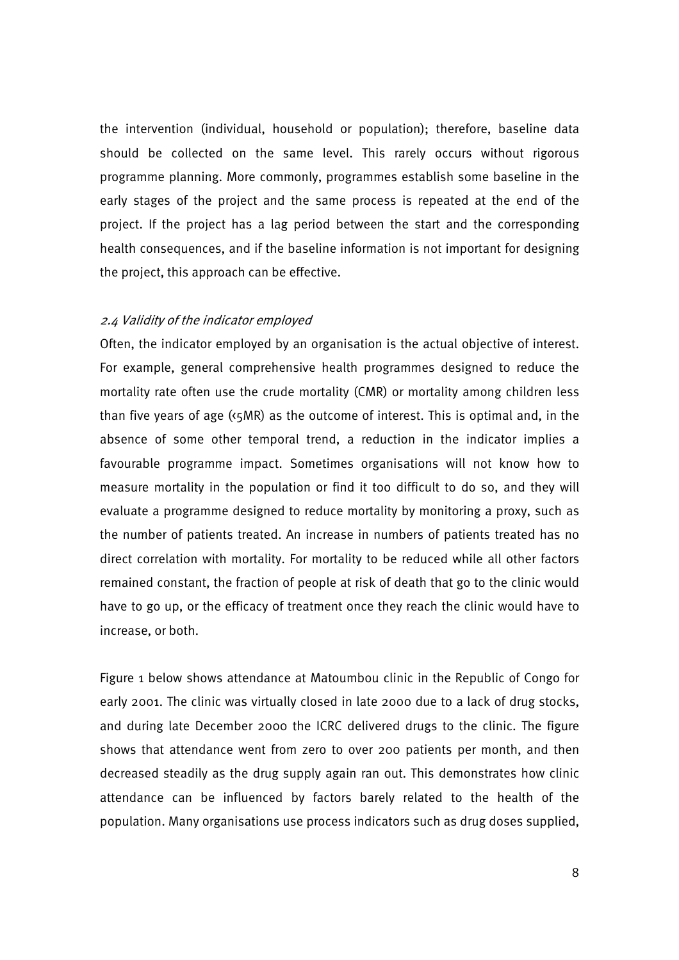the intervention (individual, household or population); therefore, baseline data should be collected on the same level. This rarely occurs without rigorous programme planning. More commonly, programmes establish some baseline in the early stages of the project and the same process is repeated at the end of the project. If the project has a lag period between the start and the corresponding health consequences, and if the baseline information is not important for designing the project, this approach can be effective.

### 2.4 Validity of the indicator employed

Often, the indicator employed by an organisation is the actual objective of interest. For example, general comprehensive health programmes designed to reduce the mortality rate often use the crude mortality (CMR) or mortality among children less than five years of age  $(s<sub>5</sub>MR)$  as the outcome of interest. This is optimal and, in the absence of some other temporal trend, a reduction in the indicator implies a favourable programme impact. Sometimes organisations will not know how to measure mortality in the population or find it too difficult to do so, and they will evaluate a programme designed to reduce mortality by monitoring a proxy, such as the number of patients treated. An increase in numbers of patients treated has no direct correlation with mortality. For mortality to be reduced while all other factors remained constant, the fraction of people at risk of death that go to the clinic would have to go up, or the efficacy of treatment once they reach the clinic would have to increase, or both.

Figure 1 below shows attendance at Matoumbou clinic in the Republic of Congo for early 2001. The clinic was virtually closed in late 2000 due to a lack of drug stocks, and during late December 2000 the ICRC delivered drugs to the clinic. The figure shows that attendance went from zero to over 200 patients per month, and then decreased steadily as the drug supply again ran out. This demonstrates how clinic attendance can be influenced by factors barely related to the health of the population. Many organisations use process indicators such as drug doses supplied,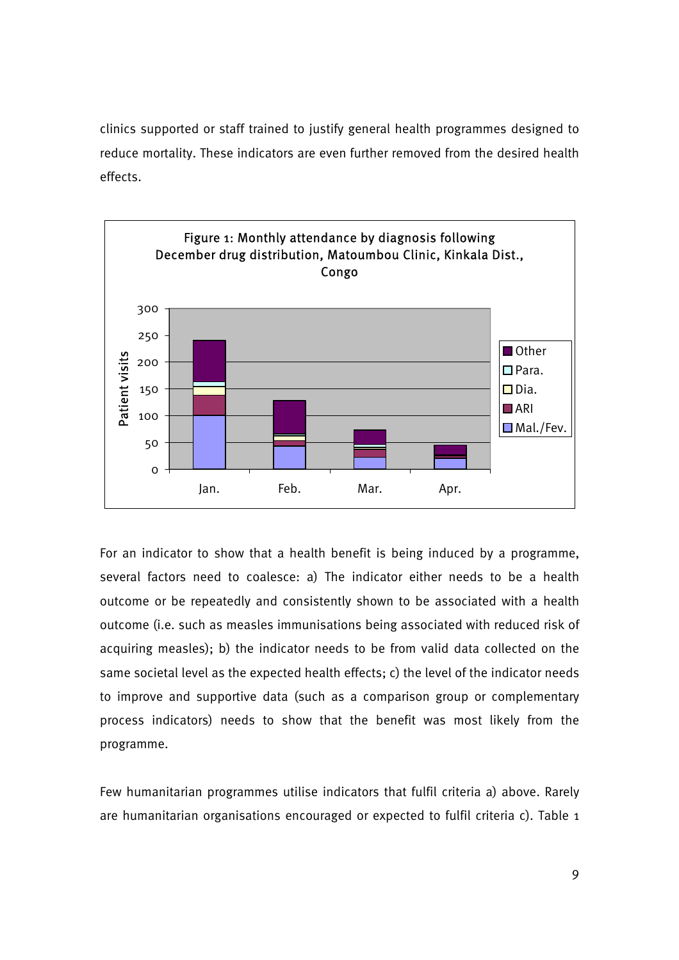clinics supported or staff trained to justify general health programmes designed to reduce mortality. These indicators are even further removed from the desired health effects.



For an indicator to show that a health benefit is being induced by a programme, several factors need to coalesce: a) The indicator either needs to be a health outcome or be repeatedly and consistently shown to be associated with a health outcome (i.e. such as measles immunisations being associated with reduced risk of acquiring measles); b) the indicator needs to be from valid data collected on the same societal level as the expected health effects; c) the level of the indicator needs to improve and supportive data (such as a comparison group or complementary process indicators) needs to show that the benefit was most likely from the programme.

Few humanitarian programmes utilise indicators that fulfil criteria a) above. Rarely are humanitarian organisations encouraged or expected to fulfil criteria c). Table 1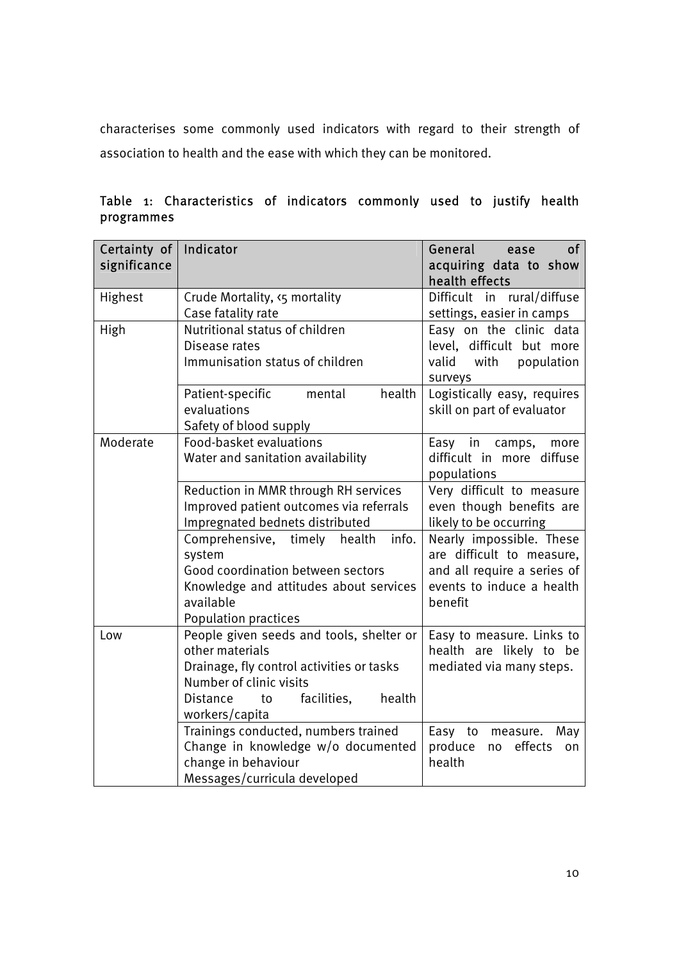characterises some commonly used indicators with regard to their strength of association to health and the ease with which they can be monitored.

| Certainty of $ $<br>significance | Indicator                                                                                                                                                                                               | General<br>0f<br>ease<br>acquiring data to show<br>health effects                                                            |
|----------------------------------|---------------------------------------------------------------------------------------------------------------------------------------------------------------------------------------------------------|------------------------------------------------------------------------------------------------------------------------------|
| Highest                          | Crude Mortality, <5 mortality<br>Case fatality rate                                                                                                                                                     | Difficult in rural/diffuse<br>settings, easier in camps                                                                      |
| High                             | Nutritional status of children<br>Disease rates<br>Immunisation status of children                                                                                                                      | Easy on the clinic data<br>level, difficult but more<br>with population<br>valid<br>surveys                                  |
|                                  | health<br>Patient-specific<br>mental<br>evaluations<br>Safety of blood supply                                                                                                                           | Logistically easy, requires<br>skill on part of evaluator                                                                    |
| Moderate                         | Food-basket evaluations<br>Water and sanitation availability                                                                                                                                            | Easy in camps,<br>more<br>difficult in more diffuse<br>populations                                                           |
|                                  | Reduction in MMR through RH services<br>Improved patient outcomes via referrals<br>Impregnated bednets distributed                                                                                      | Very difficult to measure<br>even though benefits are<br>likely to be occurring                                              |
|                                  | info.<br>Comprehensive, timely health<br>system<br>Good coordination between sectors<br>Knowledge and attitudes about services<br>available<br><b>Population practices</b>                              | Nearly impossible. These<br>are difficult to measure,<br>and all require a series of<br>events to induce a health<br>benefit |
| Low                              | People given seeds and tools, shelter or<br>other materials<br>Drainage, fly control activities or tasks<br>Number of clinic visits<br>health<br><b>Distance</b><br>facilities,<br>to<br>workers/capita | Easy to measure. Links to<br>health are likely to be<br>mediated via many steps.                                             |
|                                  | Trainings conducted, numbers trained<br>Change in knowledge w/o documented<br>change in behaviour<br>Messages/curricula developed                                                                       | Easy to measure.<br>May<br>produce<br>effects<br>no<br>on<br>health                                                          |

Table 1: Characteristics of indicators commonly used to justify health programmes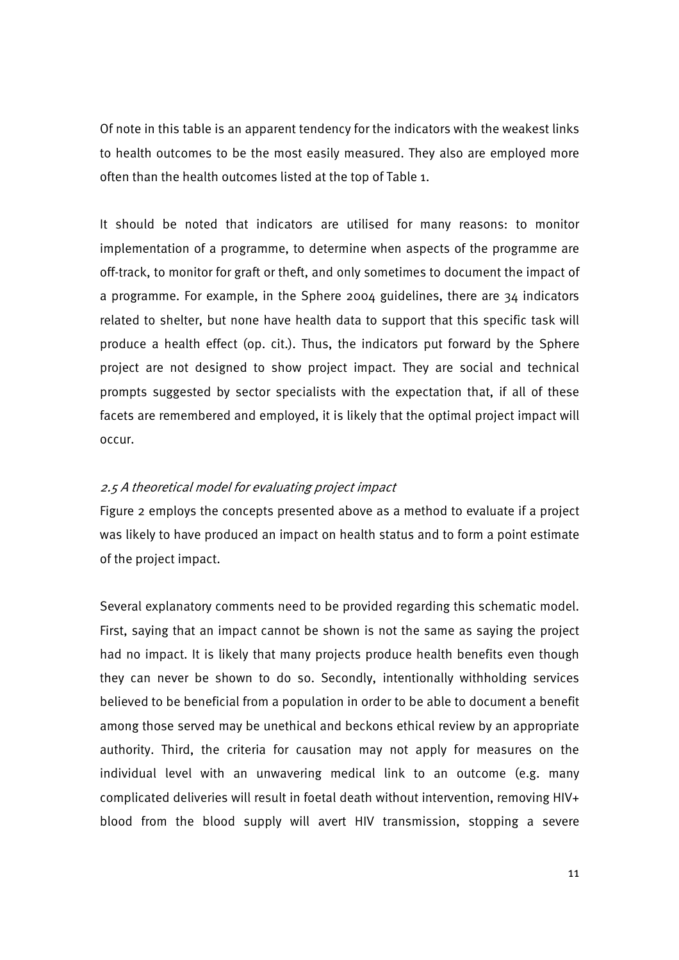Of note in this table is an apparent tendency for the indicators with the weakest links to health outcomes to be the most easily measured. They also are employed more often than the health outcomes listed at the top of Table 1.

It should be noted that indicators are utilised for many reasons: to monitor implementation of a programme, to determine when aspects of the programme are off-track, to monitor for graft or theft, and only sometimes to document the impact of a programme. For example, in the Sphere 2004 guidelines, there are 34 indicators related to shelter, but none have health data to support that this specific task will produce a health effect (op. cit.). Thus, the indicators put forward by the Sphere project are not designed to show project impact. They are social and technical prompts suggested by sector specialists with the expectation that, if all of these facets are remembered and employed, it is likely that the optimal project impact will occur.

### 2.5 A theoretical model for evaluating project impact

Figure 2 employs the concepts presented above as a method to evaluate if a project was likely to have produced an impact on health status and to form a point estimate of the project impact.

Several explanatory comments need to be provided regarding this schematic model. First, saying that an impact cannot be shown is not the same as saying the project had no impact. It is likely that many projects produce health benefits even though they can never be shown to do so. Secondly, intentionally withholding services believed to be beneficial from a population in order to be able to document a benefit among those served may be unethical and beckons ethical review by an appropriate authority. Third, the criteria for causation may not apply for measures on the individual level with an unwavering medical link to an outcome (e.g. many complicated deliveries will result in foetal death without intervention, removing HIV+ blood from the blood supply will avert HIV transmission, stopping a severe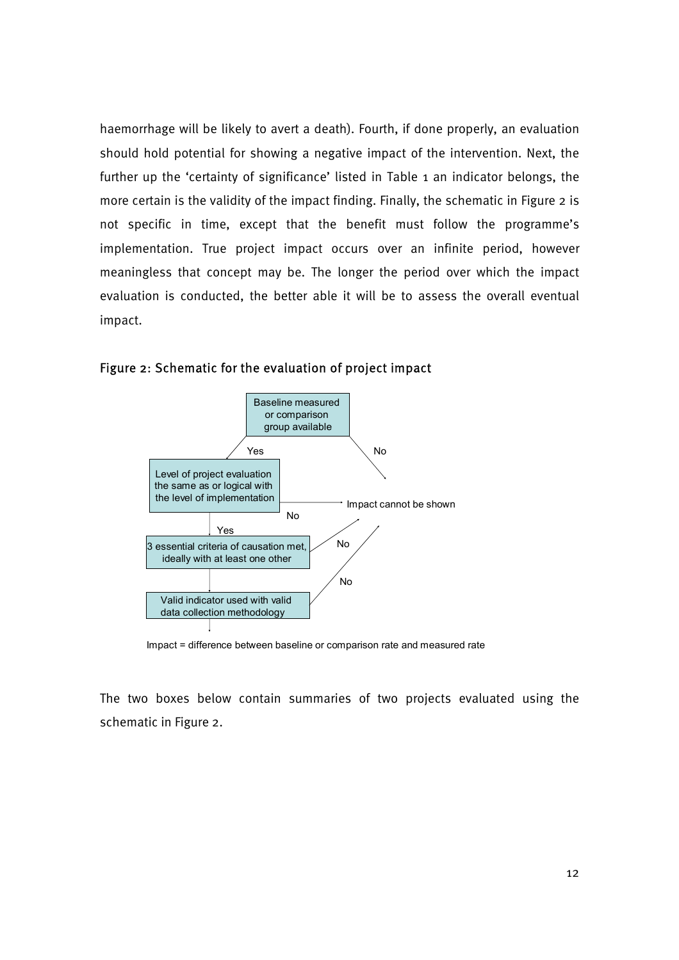haemorrhage will be likely to avert a death). Fourth, if done properly, an evaluation should hold potential for showing a negative impact of the intervention. Next, the further up the 'certainty of significance' listed in Table 1 an indicator belongs, the more certain is the validity of the impact finding. Finally, the schematic in Figure 2 is not specific in time, except that the benefit must follow the programme's implementation. True project impact occurs over an infinite period, however meaningless that concept may be. The longer the period over which the impact evaluation is conducted, the better able it will be to assess the overall eventual impact.





Impact = difference between baseline or comparison rate and measured rate

The two boxes below contain summaries of two projects evaluated using the schematic in Figure 2.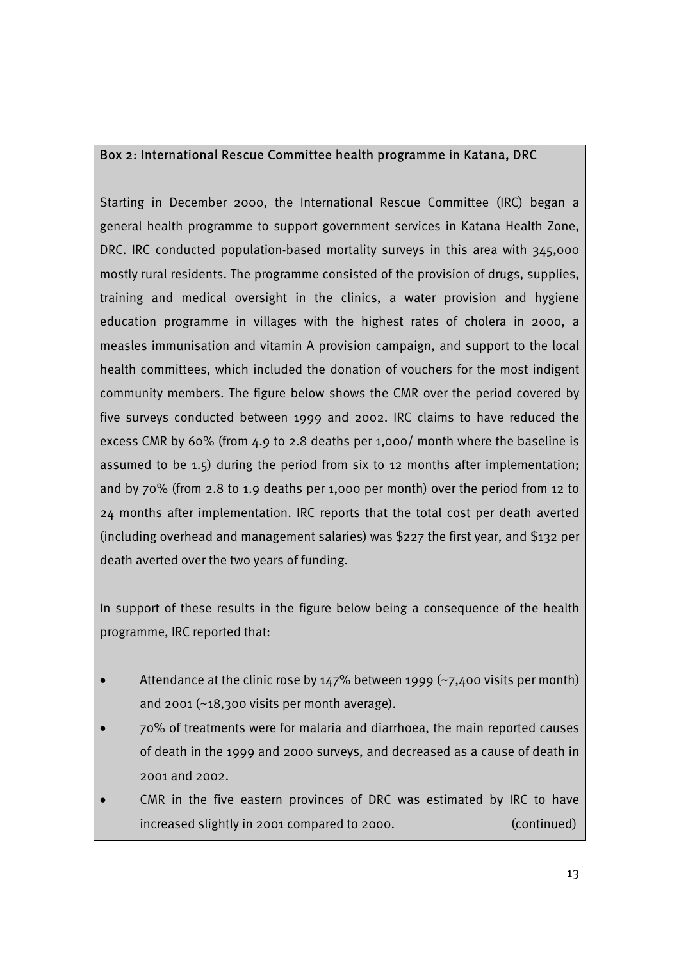# Box 2: International Rescue Committee health programme in Katana, DRC

Starting in December 2000, the International Rescue Committee (IRC) began a general health programme to support government services in Katana Health Zone, DRC. IRC conducted population-based mortality surveys in this area with 345,000 mostly rural residents. The programme consisted of the provision of drugs, supplies, training and medical oversight in the clinics, a water provision and hygiene education programme in villages with the highest rates of cholera in 2000, a measles immunisation and vitamin A provision campaign, and support to the local health committees, which included the donation of vouchers for the most indigent community members. The figure below shows the CMR over the period covered by five surveys conducted between 1999 and 2002. IRC claims to have reduced the excess CMR by 60% (from 4.9 to 2.8 deaths per 1,000/ month where the baseline is assumed to be 1.5) during the period from six to 12 months after implementation; and by 70% (from 2.8 to 1.9 deaths per 1,000 per month) over the period from 12 to 24 months after implementation. IRC reports that the total cost per death averted (including overhead and management salaries) was \$227 the first year, and \$132 per death averted over the two years of funding.

In support of these results in the figure below being a consequence of the health programme, IRC reported that:

- Attendance at the clinic rose by  $147\%$  between 1999 (~7,400 visits per month) and 2001 ( $\sim$ 18,300 visits per month average).
- 70% of treatments were for malaria and diarrhoea, the main reported causes of death in the 1999 and 2000 surveys, and decreased as a cause of death in 2001 and 2002.
- CMR in the five eastern provinces of DRC was estimated by IRC to have increased slightly in 2001 compared to 2000. (continued)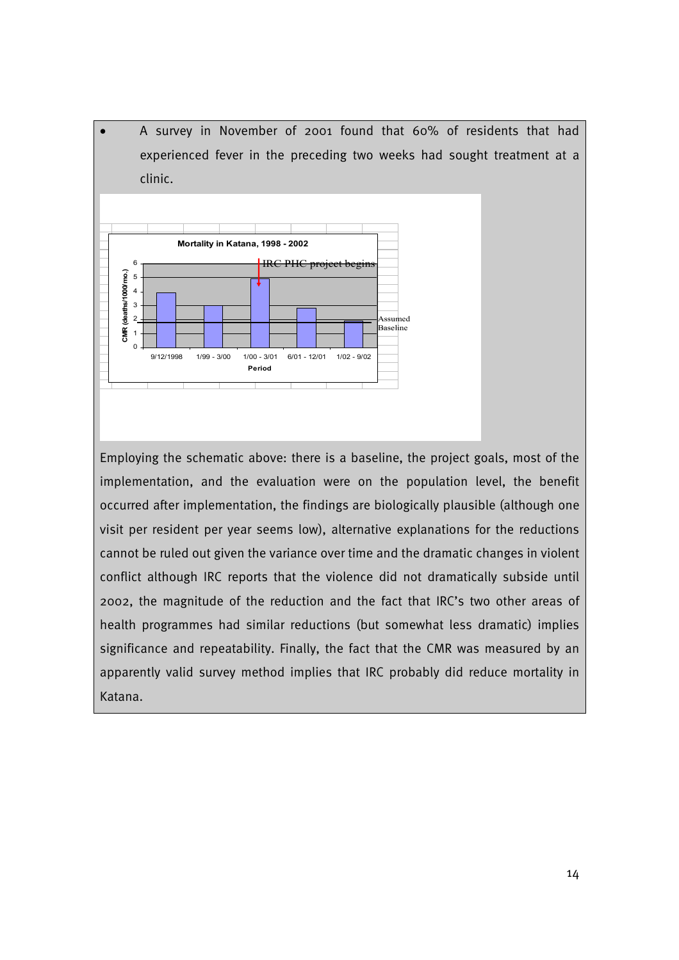• A survey in November of 2001 found that 60% of residents that had experienced fever in the preceding two weeks had sought treatment at a clinic.



Employing the schematic above: there is a baseline, the project goals, most of the implementation, and the evaluation were on the population level, the benefit occurred after implementation, the findings are biologically plausible (although one visit per resident per year seems low), alternative explanations for the reductions cannot be ruled out given the variance over time and the dramatic changes in violent conflict although IRC reports that the violence did not dramatically subside until 2002, the magnitude of the reduction and the fact that IRC's two other areas of health programmes had similar reductions (but somewhat less dramatic) implies significance and repeatability. Finally, the fact that the CMR was measured by an apparently valid survey method implies that IRC probably did reduce mortality in Katana.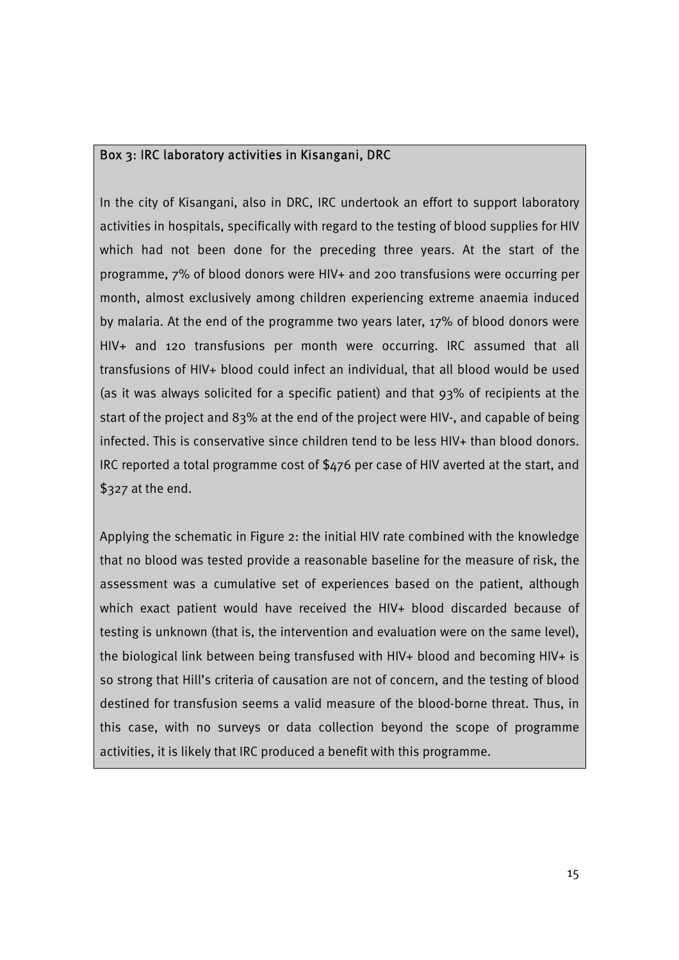## Box 3: IRC laboratory activities in Kisangani, DRC

In the city of Kisangani, also in DRC, IRC undertook an effort to support laboratory activities in hospitals, specifically with regard to the testing of blood supplies for HIV which had not been done for the preceding three years. At the start of the programme, 7% of blood donors were HIV+ and 200 transfusions were occurring per month, almost exclusively among children experiencing extreme anaemia induced by malaria. At the end of the programme two years later, 17% of blood donors were HIV+ and 120 transfusions per month were occurring. IRC assumed that all transfusions of HIV+ blood could infect an individual, that all blood would be used (as it was always solicited for a specific patient) and that 93% of recipients at the start of the project and 83% at the end of the project were HIV-, and capable of being infected. This is conservative since children tend to be less HIV+ than blood donors. IRC reported a total programme cost of \$476 per case of HIV averted at the start, and \$327 at the end.

Applying the schematic in Figure 2: the initial HIV rate combined with the knowledge that no blood was tested provide a reasonable baseline for the measure of risk, the assessment was a cumulative set of experiences based on the patient, although which exact patient would have received the HIV+ blood discarded because of testing is unknown (that is, the intervention and evaluation were on the same level), the biological link between being transfused with HIV+ blood and becoming HIV+ is so strong that Hill's criteria of causation are not of concern, and the testing of blood destined for transfusion seems a valid measure of the blood-borne threat. Thus, in this case, with no surveys or data collection beyond the scope of programme activities, it is likely that IRC produced a benefit with this programme.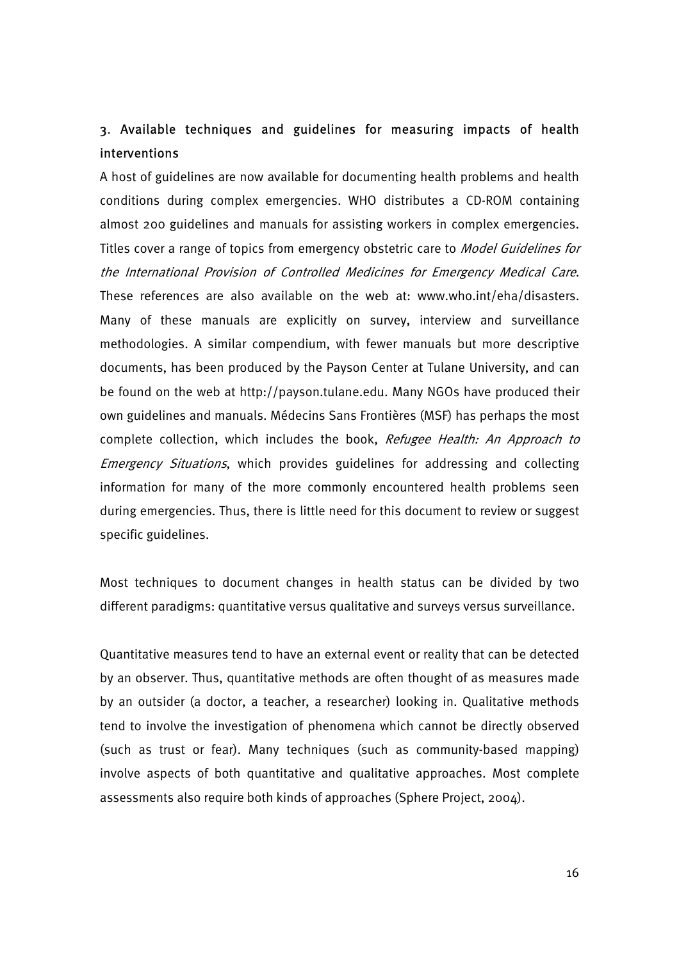# 3. Available techniques and guidelines for measuring impacts of health interventions

A host of guidelines are now available for documenting health problems and health conditions during complex emergencies. WHO distributes a CD-ROM containing almost 200 guidelines and manuals for assisting workers in complex emergencies. Titles cover a range of topics from emergency obstetric care to *Model Guidelines for* the International Provision of Controlled Medicines for Emergency Medical Care. These references are also available on the web at: www.who.int/eha/disasters. Many of these manuals are explicitly on survey, interview and surveillance methodologies. A similar compendium, with fewer manuals but more descriptive documents, has been produced by the Payson Center at Tulane University, and can be found on the web at http://payson.tulane.edu. Many NGOs have produced their own guidelines and manuals. Médecins Sans Frontières (MSF) has perhaps the most complete collection, which includes the book, Refugee Health: An Approach to Emergency Situations, which provides guidelines for addressing and collecting information for many of the more commonly encountered health problems seen during emergencies. Thus, there is little need for this document to review or suggest specific guidelines.

Most techniques to document changes in health status can be divided by two different paradigms: quantitative versus qualitative and surveys versus surveillance.

Quantitative measures tend to have an external event or reality that can be detected by an observer. Thus, quantitative methods are often thought of as measures made by an outsider (a doctor, a teacher, a researcher) looking in. Qualitative methods tend to involve the investigation of phenomena which cannot be directly observed (such as trust or fear). Many techniques (such as community-based mapping) involve aspects of both quantitative and qualitative approaches. Most complete assessments also require both kinds of approaches (Sphere Project, 2004).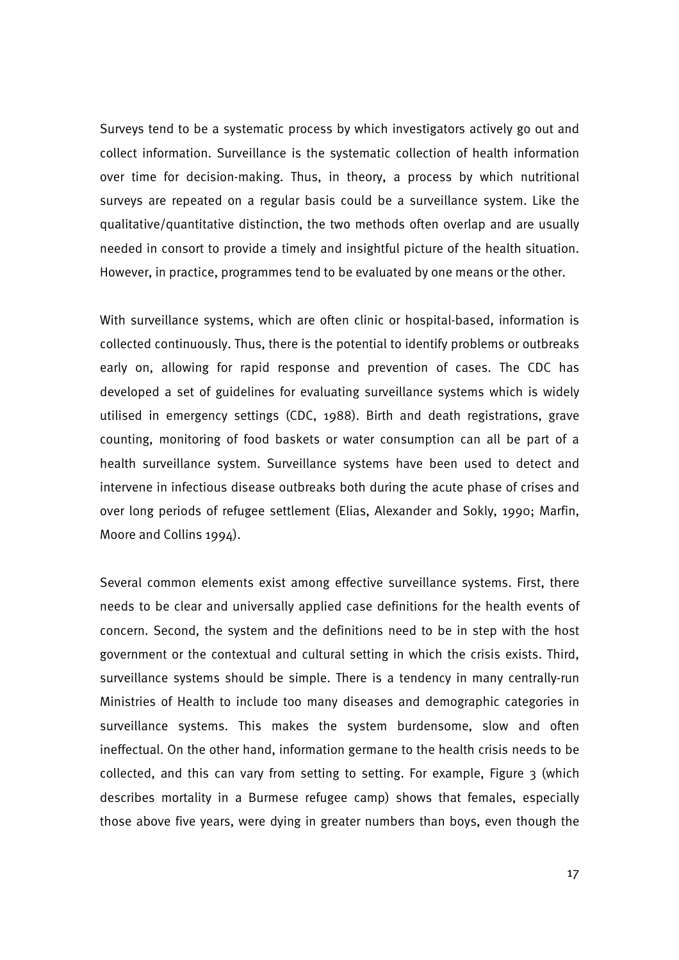Surveys tend to be a systematic process by which investigators actively go out and collect information. Surveillance is the systematic collection of health information over time for decision-making. Thus, in theory, a process by which nutritional surveys are repeated on a regular basis could be a surveillance system. Like the qualitative/quantitative distinction, the two methods often overlap and are usually needed in consort to provide a timely and insightful picture of the health situation. However, in practice, programmes tend to be evaluated by one means or the other.

With surveillance systems, which are often clinic or hospital-based, information is collected continuously. Thus, there is the potential to identify problems or outbreaks early on, allowing for rapid response and prevention of cases. The CDC has developed a set of guidelines for evaluating surveillance systems which is widely utilised in emergency settings (CDC, 1988). Birth and death registrations, grave counting, monitoring of food baskets or water consumption can all be part of a health surveillance system. Surveillance systems have been used to detect and intervene in infectious disease outbreaks both during the acute phase of crises and over long periods of refugee settlement (Elias, Alexander and Sokly, 1990; Marfin, Moore and Collins 1994).

Several common elements exist among effective surveillance systems. First, there needs to be clear and universally applied case definitions for the health events of concern. Second, the system and the definitions need to be in step with the host government or the contextual and cultural setting in which the crisis exists. Third, surveillance systems should be simple. There is a tendency in many centrally-run Ministries of Health to include too many diseases and demographic categories in surveillance systems. This makes the system burdensome, slow and often ineffectual. On the other hand, information germane to the health crisis needs to be collected, and this can vary from setting to setting. For example, Figure  $\frac{1}{3}$  (which describes mortality in a Burmese refugee camp) shows that females, especially those above five years, were dying in greater numbers than boys, even though the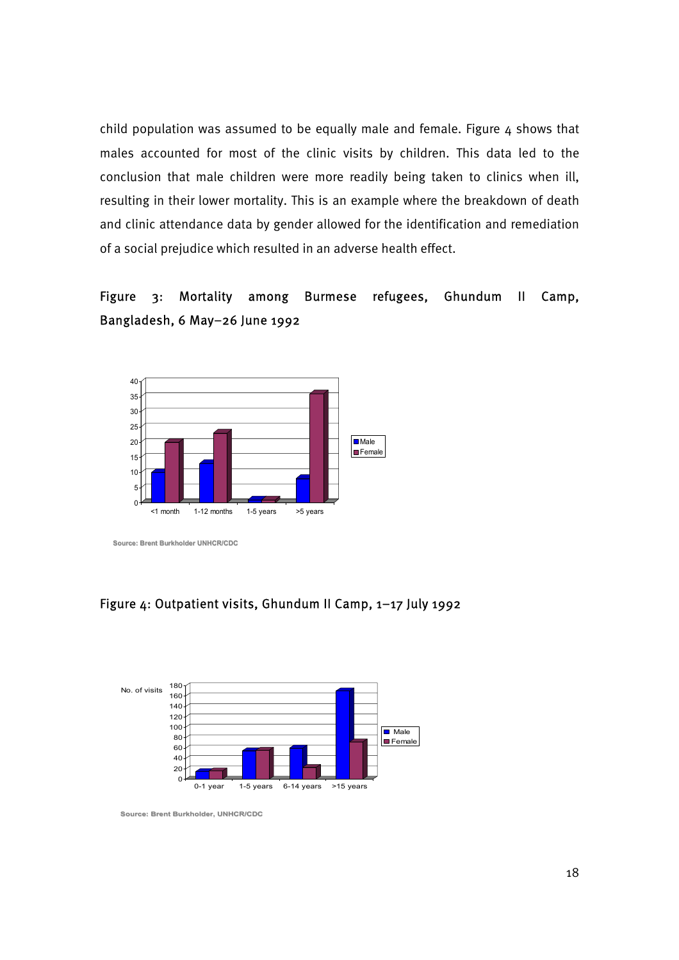child population was assumed to be equally male and female. Figure  $4$  shows that males accounted for most of the clinic visits by children. This data led to the conclusion that male children were more readily being taken to clinics when ill, resulting in their lower mortality. This is an example where the breakdown of death and clinic attendance data by gender allowed for the identification and remediation of a social prejudice which resulted in an adverse health effect.

# Figure 3: Mortality among Burmese refugees, Ghundum II Camp, Bangladesh, 6 May–26 June 1992



**Source: Brent Burkholder UNHCR/CDC**

### Figure 4: Outpatient visits, Ghundum II Camp, 1–17 July 1992



**Source: Brent Burkholder, UNHCR/CDC Source: Brent Burkholder, UNHCR/CDC**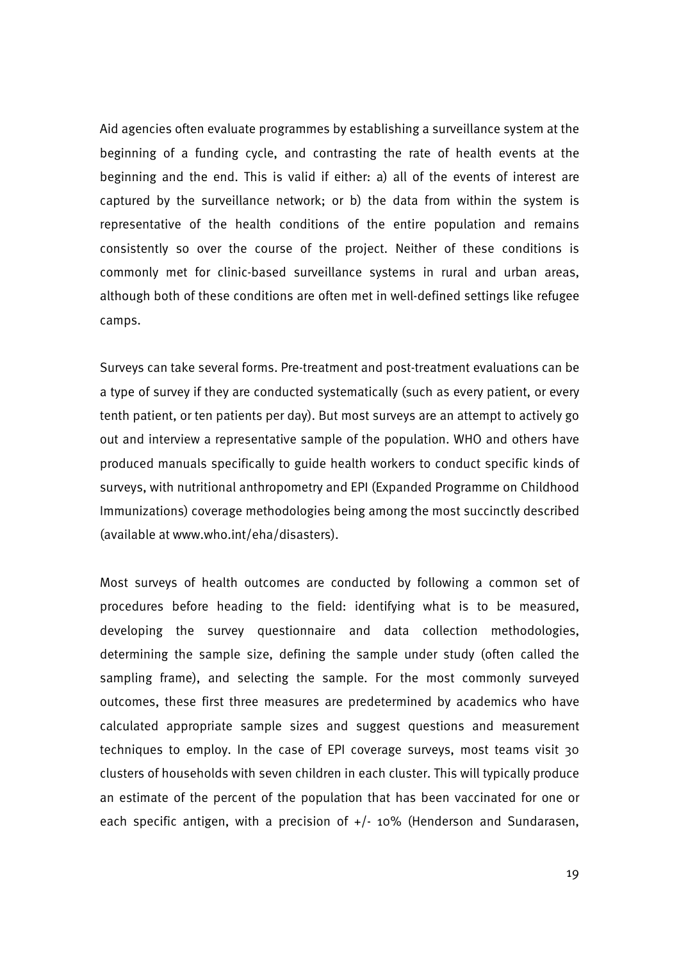Aid agencies often evaluate programmes by establishing a surveillance system at the beginning of a funding cycle, and contrasting the rate of health events at the beginning and the end. This is valid if either: a) all of the events of interest are captured by the surveillance network; or b) the data from within the system is representative of the health conditions of the entire population and remains consistently so over the course of the project. Neither of these conditions is commonly met for clinic-based surveillance systems in rural and urban areas, although both of these conditions are often met in well-defined settings like refugee camps.

Surveys can take several forms. Pre-treatment and post-treatment evaluations can be a type of survey if they are conducted systematically (such as every patient, or every tenth patient, or ten patients per day). But most surveys are an attempt to actively go out and interview a representative sample of the population. WHO and others have produced manuals specifically to guide health workers to conduct specific kinds of surveys, with nutritional anthropometry and EPI (Expanded Programme on Childhood Immunizations) coverage methodologies being among the most succinctly described (available at www.who.int/eha/disasters).

Most surveys of health outcomes are conducted by following a common set of procedures before heading to the field: identifying what is to be measured, developing the survey questionnaire and data collection methodologies, determining the sample size, defining the sample under study (often called the sampling frame), and selecting the sample. For the most commonly surveyed outcomes, these first three measures are predetermined by academics who have calculated appropriate sample sizes and suggest questions and measurement techniques to employ. In the case of EPI coverage surveys, most teams visit 30 clusters of households with seven children in each cluster. This will typically produce an estimate of the percent of the population that has been vaccinated for one or each specific antigen, with a precision of +/- 10% (Henderson and Sundarasen,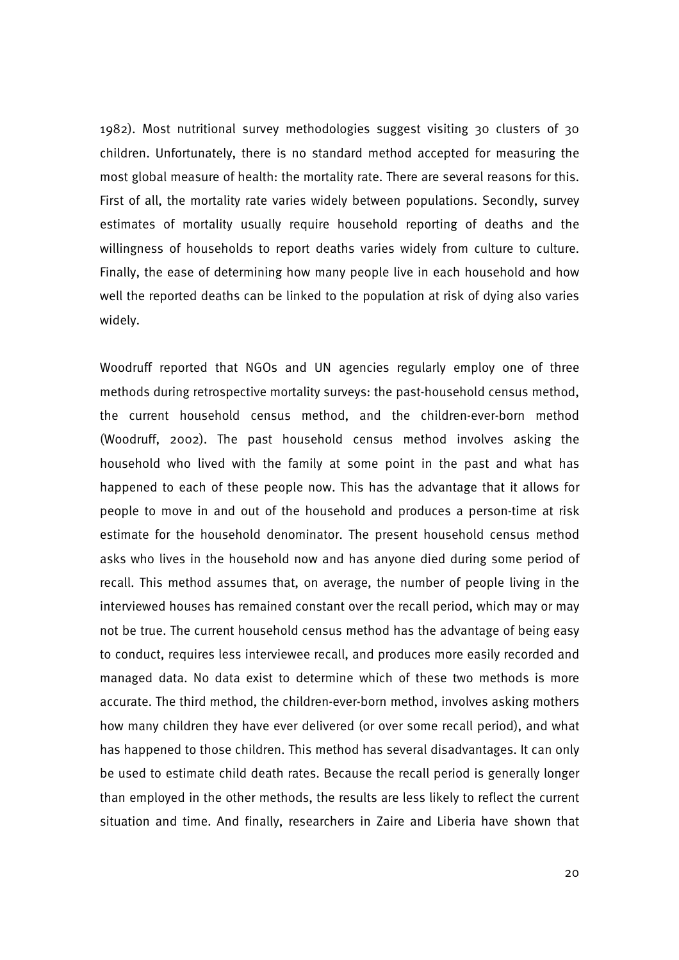1982). Most nutritional survey methodologies suggest visiting 30 clusters of 30 children. Unfortunately, there is no standard method accepted for measuring the most global measure of health: the mortality rate. There are several reasons for this. First of all, the mortality rate varies widely between populations. Secondly, survey estimates of mortality usually require household reporting of deaths and the willingness of households to report deaths varies widely from culture to culture. Finally, the ease of determining how many people live in each household and how well the reported deaths can be linked to the population at risk of dying also varies widely.

Woodruff reported that NGOs and UN agencies regularly employ one of three methods during retrospective mortality surveys: the past-household census method, the current household census method, and the children-ever-born method (Woodruff, 2002). The past household census method involves asking the household who lived with the family at some point in the past and what has happened to each of these people now. This has the advantage that it allows for people to move in and out of the household and produces a person-time at risk estimate for the household denominator. The present household census method asks who lives in the household now and has anyone died during some period of recall. This method assumes that, on average, the number of people living in the interviewed houses has remained constant over the recall period, which may or may not be true. The current household census method has the advantage of being easy to conduct, requires less interviewee recall, and produces more easily recorded and managed data. No data exist to determine which of these two methods is more accurate. The third method, the children-ever-born method, involves asking mothers how many children they have ever delivered (or over some recall period), and what has happened to those children. This method has several disadvantages. It can only be used to estimate child death rates. Because the recall period is generally longer than employed in the other methods, the results are less likely to reflect the current situation and time. And finally, researchers in Zaire and Liberia have shown that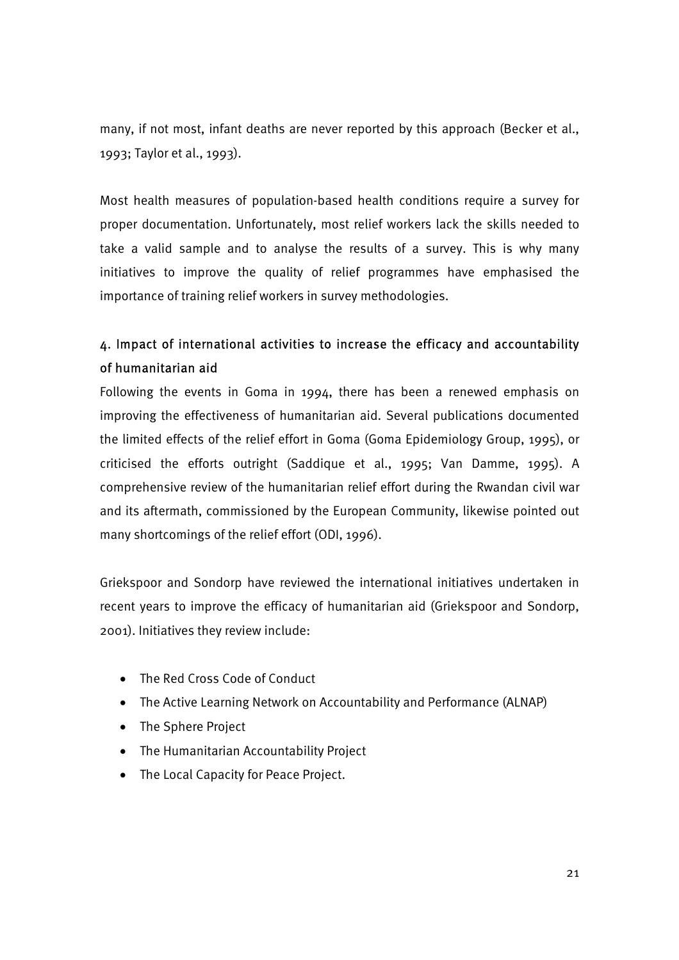many, if not most, infant deaths are never reported by this approach (Becker et al., 1993; Taylor et al., 1993).

Most health measures of population-based health conditions require a survey for proper documentation. Unfortunately, most relief workers lack the skills needed to take a valid sample and to analyse the results of a survey. This is why many initiatives to improve the quality of relief programmes have emphasised the importance of training relief workers in survey methodologies.

# 4. Impact of international activities to increase the efficacy and accountability of humanitarian aid

Following the events in Goma in 1994, there has been a renewed emphasis on improving the effectiveness of humanitarian aid. Several publications documented the limited effects of the relief effort in Goma (Goma Epidemiology Group, 1995), or criticised the efforts outright (Saddique et al., 1995; Van Damme, 1995). A comprehensive review of the humanitarian relief effort during the Rwandan civil war and its aftermath, commissioned by the European Community, likewise pointed out many shortcomings of the relief effort (ODI, 1996).

Griekspoor and Sondorp have reviewed the international initiatives undertaken in recent years to improve the efficacy of humanitarian aid (Griekspoor and Sondorp, 2001). Initiatives they review include:

- The Red Cross Code of Conduct
- The Active Learning Network on Accountability and Performance (ALNAP)
- The Sphere Project
- The Humanitarian Accountability Project
- The Local Capacity for Peace Project.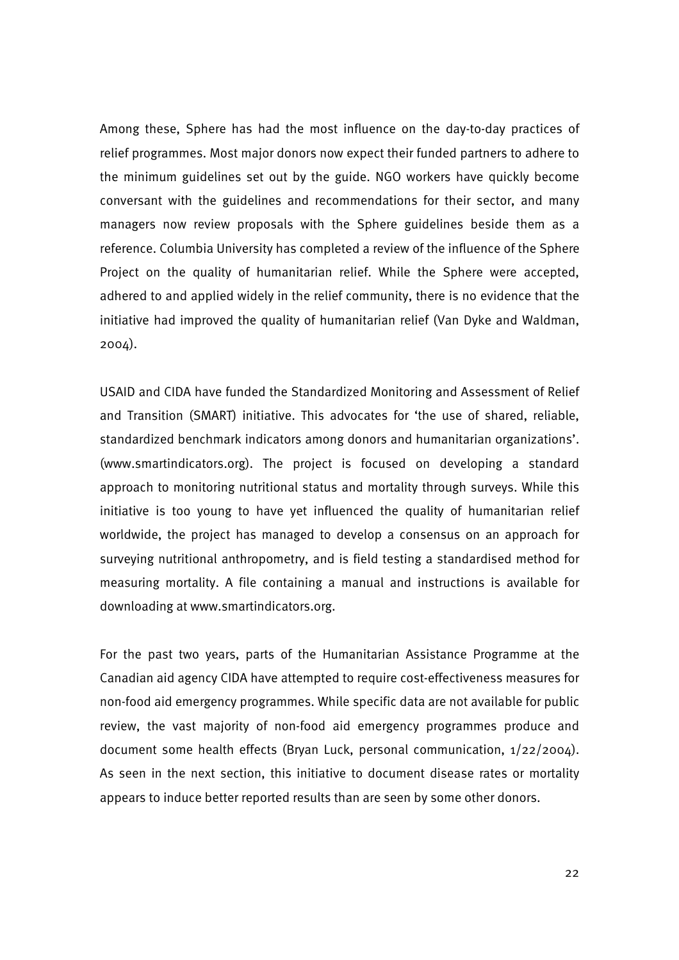Among these, Sphere has had the most influence on the day-to-day practices of relief programmes. Most major donors now expect their funded partners to adhere to the minimum guidelines set out by the guide. NGO workers have quickly become conversant with the guidelines and recommendations for their sector, and many managers now review proposals with the Sphere guidelines beside them as a reference. Columbia University has completed a review of the influence of the Sphere Project on the quality of humanitarian relief. While the Sphere were accepted, adhered to and applied widely in the relief community, there is no evidence that the initiative had improved the quality of humanitarian relief (Van Dyke and Waldman, 2004).

USAID and CIDA have funded the Standardized Monitoring and Assessment of Relief and Transition (SMART) initiative. This advocates for 'the use of shared, reliable, standardized benchmark indicators among donors and humanitarian organizations'. (www.smartindicators.org). The project is focused on developing a standard approach to monitoring nutritional status and mortality through surveys. While this initiative is too young to have yet influenced the quality of humanitarian relief worldwide, the project has managed to develop a consensus on an approach for surveying nutritional anthropometry, and is field testing a standardised method for measuring mortality. A file containing a manual and instructions is available for downloading at www.smartindicators.org.

For the past two years, parts of the Humanitarian Assistance Programme at the Canadian aid agency CIDA have attempted to require cost-effectiveness measures for non-food aid emergency programmes. While specific data are not available for public review, the vast majority of non-food aid emergency programmes produce and document some health effects (Bryan Luck, personal communication, 1/22/2004). As seen in the next section, this initiative to document disease rates or mortality appears to induce better reported results than are seen by some other donors.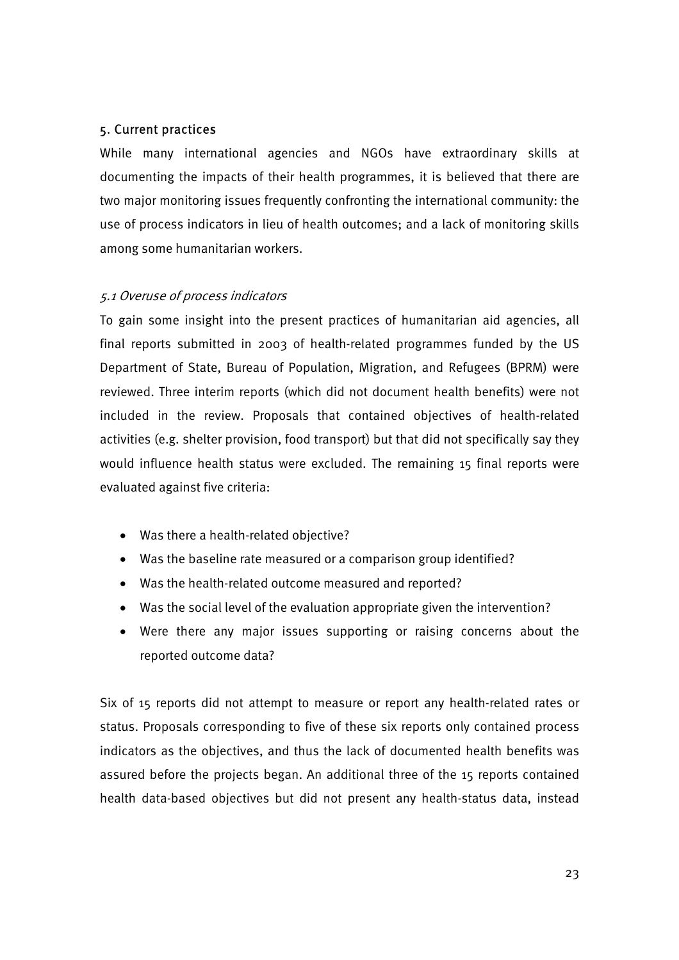## 5. Current practices

While many international agencies and NGOs have extraordinary skills at documenting the impacts of their health programmes, it is believed that there are two major monitoring issues frequently confronting the international community: the use of process indicators in lieu of health outcomes; and a lack of monitoring skills among some humanitarian workers.

## 5.1 Overuse of process indicators

To gain some insight into the present practices of humanitarian aid agencies, all final reports submitted in 2003 of health-related programmes funded by the US Department of State, Bureau of Population, Migration, and Refugees (BPRM) were reviewed. Three interim reports (which did not document health benefits) were not included in the review. Proposals that contained objectives of health-related activities (e.g. shelter provision, food transport) but that did not specifically say they would influence health status were excluded. The remaining 15 final reports were evaluated against five criteria:

- Was there a health-related objective?
- Was the baseline rate measured or a comparison group identified?
- Was the health-related outcome measured and reported?
- Was the social level of the evaluation appropriate given the intervention?
- Were there any major issues supporting or raising concerns about the reported outcome data?

Six of 15 reports did not attempt to measure or report any health-related rates or status. Proposals corresponding to five of these six reports only contained process indicators as the objectives, and thus the lack of documented health benefits was assured before the projects began. An additional three of the 15 reports contained health data-based objectives but did not present any health-status data, instead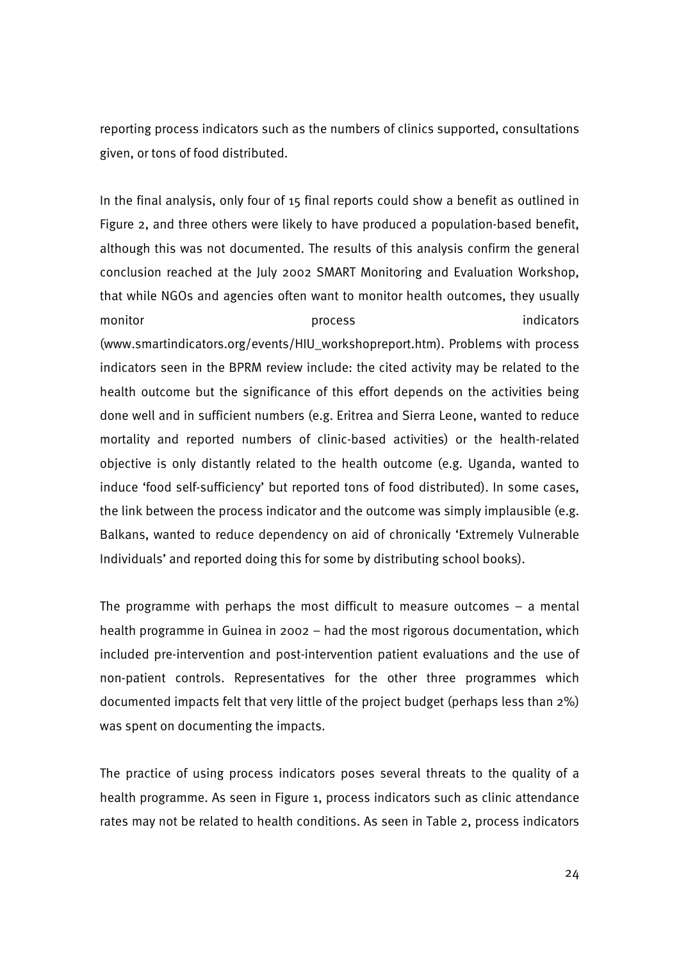reporting process indicators such as the numbers of clinics supported, consultations given, or tons of food distributed.

In the final analysis, only four of 15 final reports could show a benefit as outlined in Figure 2, and three others were likely to have produced a population-based benefit, although this was not documented. The results of this analysis confirm the general conclusion reached at the July 2002 SMART Monitoring and Evaluation Workshop, that while NGOs and agencies often want to monitor health outcomes, they usually monitor **process** indicators indicators **indicators** (www.smartindicators.org/events/HIU\_workshopreport.htm). Problems with process indicators seen in the BPRM review include: the cited activity may be related to the health outcome but the significance of this effort depends on the activities being done well and in sufficient numbers (e.g. Eritrea and Sierra Leone, wanted to reduce mortality and reported numbers of clinic-based activities) or the health-related objective is only distantly related to the health outcome (e.g. Uganda, wanted to induce 'food self-sufficiency' but reported tons of food distributed). In some cases, the link between the process indicator and the outcome was simply implausible (e.g. Balkans, wanted to reduce dependency on aid of chronically 'Extremely Vulnerable Individuals' and reported doing this for some by distributing school books).

The programme with perhaps the most difficult to measure outcomes  $-$  a mental health programme in Guinea in 2002 – had the most rigorous documentation, which included pre-intervention and post-intervention patient evaluations and the use of non-patient controls. Representatives for the other three programmes which documented impacts felt that very little of the project budget (perhaps less than 2%) was spent on documenting the impacts.

The practice of using process indicators poses several threats to the quality of a health programme. As seen in Figure 1, process indicators such as clinic attendance rates may not be related to health conditions. As seen in Table 2, process indicators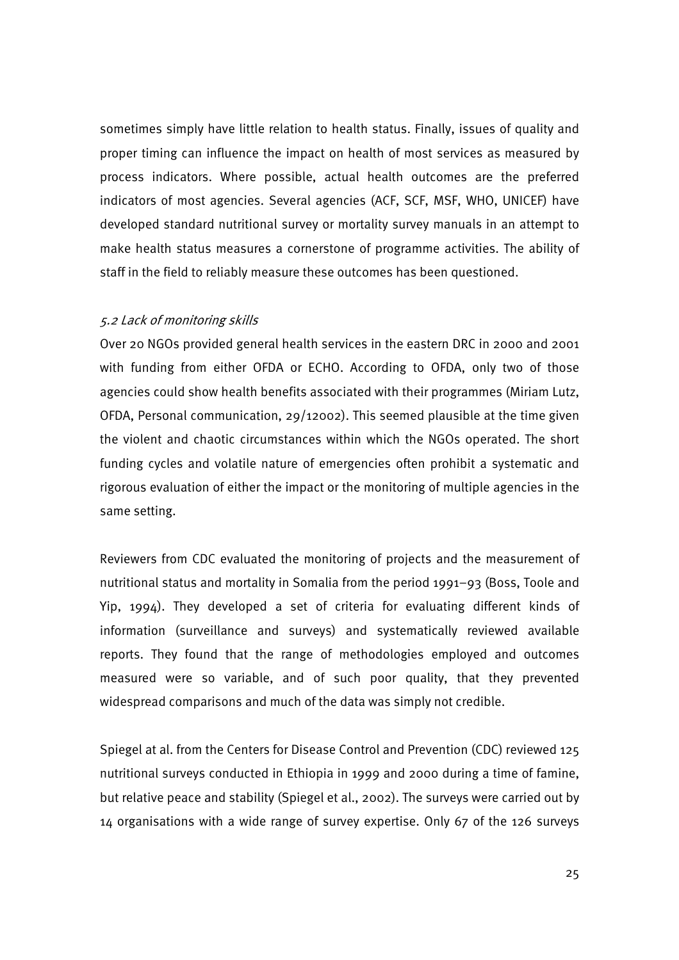sometimes simply have little relation to health status. Finally, issues of quality and proper timing can influence the impact on health of most services as measured by process indicators. Where possible, actual health outcomes are the preferred indicators of most agencies. Several agencies (ACF, SCF, MSF, WHO, UNICEF) have developed standard nutritional survey or mortality survey manuals in an attempt to make health status measures a cornerstone of programme activities. The ability of staff in the field to reliably measure these outcomes has been questioned.

### 5.2 Lack of monitoring skills

Over 20 NGOs provided general health services in the eastern DRC in 2000 and 2001 with funding from either OFDA or ECHO. According to OFDA, only two of those agencies could show health benefits associated with their programmes (Miriam Lutz, OFDA, Personal communication, 29/12002). This seemed plausible at the time given the violent and chaotic circumstances within which the NGOs operated. The short funding cycles and volatile nature of emergencies often prohibit a systematic and rigorous evaluation of either the impact or the monitoring of multiple agencies in the same setting.

Reviewers from CDC evaluated the monitoring of projects and the measurement of nutritional status and mortality in Somalia from the period 1991–93 (Boss, Toole and Yip, 1994). They developed a set of criteria for evaluating different kinds of information (surveillance and surveys) and systematically reviewed available reports. They found that the range of methodologies employed and outcomes measured were so variable, and of such poor quality, that they prevented widespread comparisons and much of the data was simply not credible.

Spiegel at al. from the Centers for Disease Control and Prevention (CDC) reviewed 125 nutritional surveys conducted in Ethiopia in 1999 and 2000 during a time of famine, but relative peace and stability (Spiegel et al., 2002). The surveys were carried out by 14 organisations with a wide range of survey expertise. Only 67 of the 126 surveys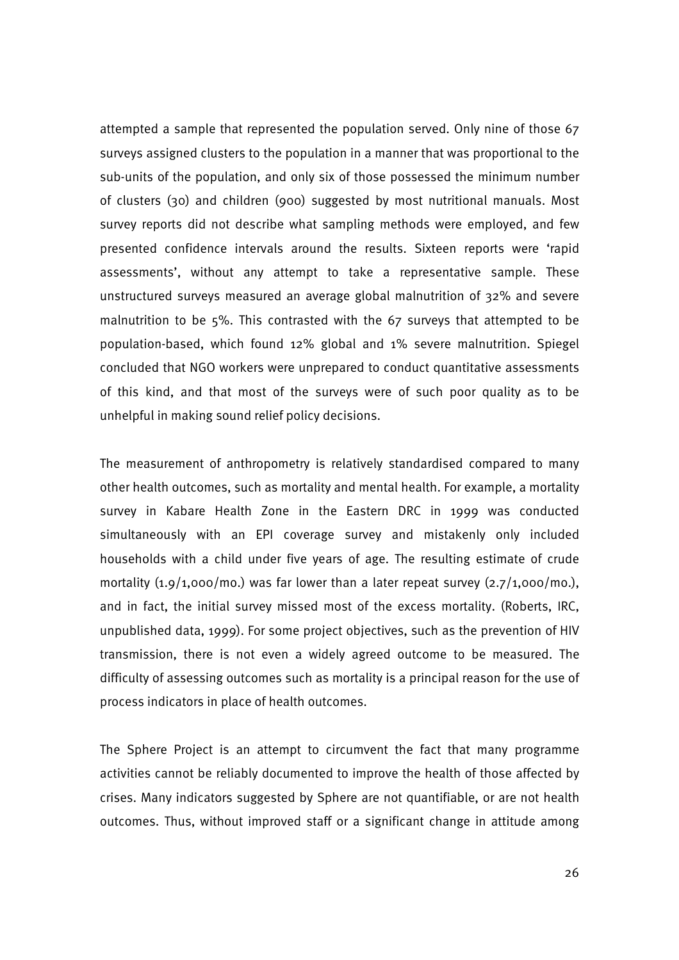attempted a sample that represented the population served. Only nine of those 67 surveys assigned clusters to the population in a manner that was proportional to the sub-units of the population, and only six of those possessed the minimum number of clusters (30) and children (900) suggested by most nutritional manuals. Most survey reports did not describe what sampling methods were employed, and few presented confidence intervals around the results. Sixteen reports were 'rapid assessments', without any attempt to take a representative sample. These unstructured surveys measured an average global malnutrition of 32% and severe malnutrition to be 5%. This contrasted with the 67 surveys that attempted to be population-based, which found 12% global and 1% severe malnutrition. Spiegel concluded that NGO workers were unprepared to conduct quantitative assessments of this kind, and that most of the surveys were of such poor quality as to be unhelpful in making sound relief policy decisions.

The measurement of anthropometry is relatively standardised compared to many other health outcomes, such as mortality and mental health. For example, a mortality survey in Kabare Health Zone in the Eastern DRC in 1999 was conducted simultaneously with an EPI coverage survey and mistakenly only included households with a child under five years of age. The resulting estimate of crude mortality  $(1.9/1,000/m0)$  was far lower than a later repeat survey  $(2.7/1,000/m0)$ , and in fact, the initial survey missed most of the excess mortality. (Roberts, IRC, unpublished data, 1999). For some project objectives, such as the prevention of HIV transmission, there is not even a widely agreed outcome to be measured. The difficulty of assessing outcomes such as mortality is a principal reason for the use of process indicators in place of health outcomes.

The Sphere Project is an attempt to circumvent the fact that many programme activities cannot be reliably documented to improve the health of those affected by crises. Many indicators suggested by Sphere are not quantifiable, or are not health outcomes. Thus, without improved staff or a significant change in attitude among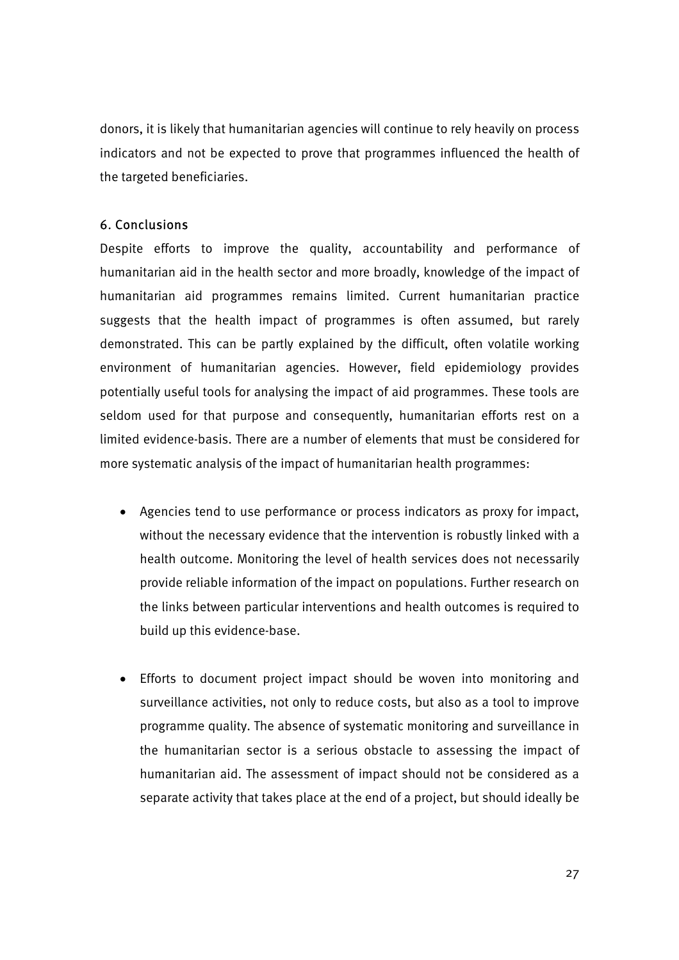donors, it is likely that humanitarian agencies will continue to rely heavily on process indicators and not be expected to prove that programmes influenced the health of the targeted beneficiaries.

## 6. Conclusions

Despite efforts to improve the quality, accountability and performance of humanitarian aid in the health sector and more broadly, knowledge of the impact of humanitarian aid programmes remains limited. Current humanitarian practice suggests that the health impact of programmes is often assumed, but rarely demonstrated. This can be partly explained by the difficult, often volatile working environment of humanitarian agencies. However, field epidemiology provides potentially useful tools for analysing the impact of aid programmes. These tools are seldom used for that purpose and consequently, humanitarian efforts rest on a limited evidence-basis. There are a number of elements that must be considered for more systematic analysis of the impact of humanitarian health programmes:

- Agencies tend to use performance or process indicators as proxy for impact, without the necessary evidence that the intervention is robustly linked with a health outcome. Monitoring the level of health services does not necessarily provide reliable information of the impact on populations. Further research on the links between particular interventions and health outcomes is required to build up this evidence-base.
- Efforts to document project impact should be woven into monitoring and surveillance activities, not only to reduce costs, but also as a tool to improve programme quality. The absence of systematic monitoring and surveillance in the humanitarian sector is a serious obstacle to assessing the impact of humanitarian aid. The assessment of impact should not be considered as a separate activity that takes place at the end of a project, but should ideally be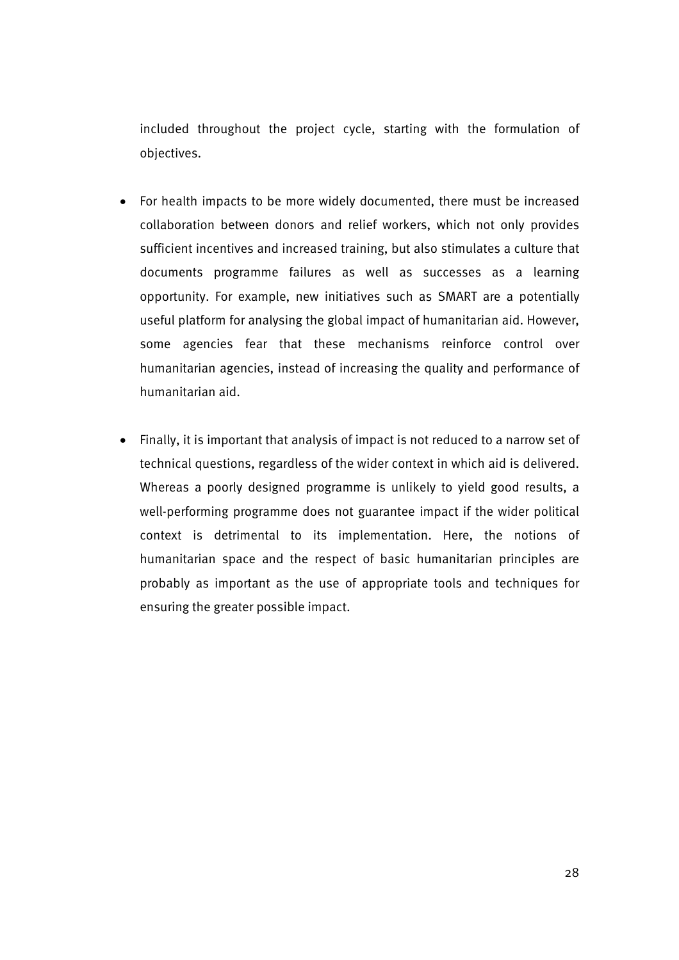included throughout the project cycle, starting with the formulation of objectives.

- For health impacts to be more widely documented, there must be increased collaboration between donors and relief workers, which not only provides sufficient incentives and increased training, but also stimulates a culture that documents programme failures as well as successes as a learning opportunity. For example, new initiatives such as SMART are a potentially useful platform for analysing the global impact of humanitarian aid. However, some agencies fear that these mechanisms reinforce control over humanitarian agencies, instead of increasing the quality and performance of humanitarian aid.
- Finally, it is important that analysis of impact is not reduced to a narrow set of technical questions, regardless of the wider context in which aid is delivered. Whereas a poorly designed programme is unlikely to yield good results, a well-performing programme does not guarantee impact if the wider political context is detrimental to its implementation. Here, the notions of humanitarian space and the respect of basic humanitarian principles are probably as important as the use of appropriate tools and techniques for ensuring the greater possible impact.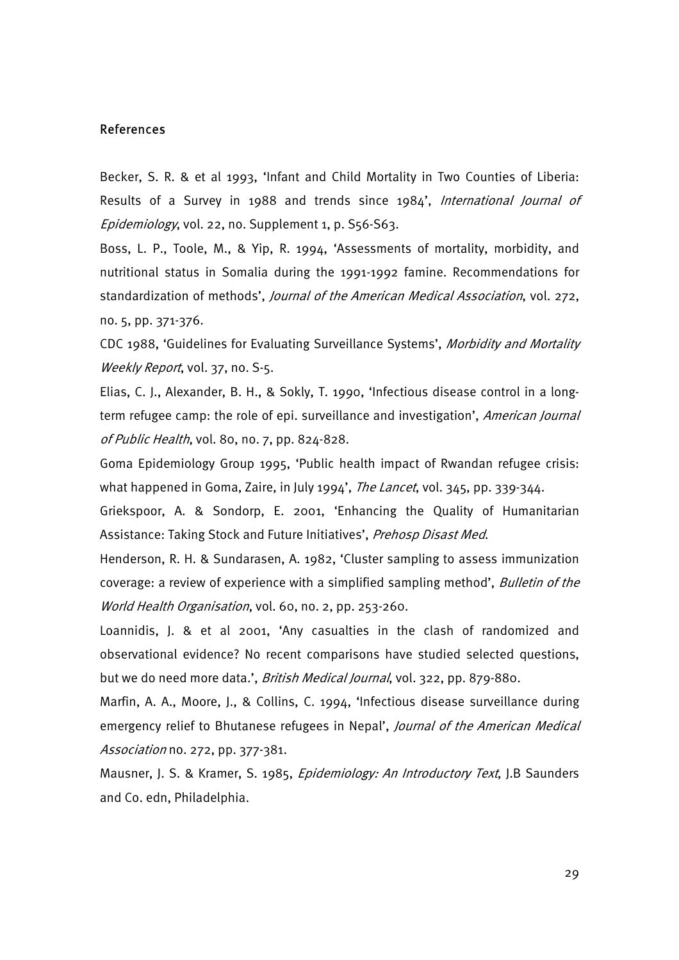#### References

Becker, S. R. & et al 1993, 'Infant and Child Mortality in Two Counties of Liberia: Results of a Survey in 1988 and trends since 1984', International Journal of Epidemiology, vol. 22, no. Supplement 1, p. S56-S63.

Boss, L. P., Toole, M., & Yip, R. 1994, 'Assessments of mortality, morbidity, and nutritional status in Somalia during the 1991-1992 famine. Recommendations for standardization of methods', Journal of the American Medical Association, vol. 272, no. 5, pp. 371-376.

CDC 1988, 'Guidelines for Evaluating Surveillance Systems', Morbidity and Mortality Weekly Report, vol. 37, no. S-5.

Elias, C. J., Alexander, B. H., & Sokly, T. 1990, 'Infectious disease control in a longterm refugee camp: the role of epi. surveillance and investigation', American Journal of Public Health, vol. 80, no. 7, pp. 824-828.

Goma Epidemiology Group 1995, 'Public health impact of Rwandan refugee crisis: what happened in Goma, Zaire, in July 1994', The Lancet, vol. 345, pp. 339-344.

Griekspoor, A. & Sondorp, E. 2001, 'Enhancing the Quality of Humanitarian Assistance: Taking Stock and Future Initiatives', Prehosp Disast Med.

Henderson, R. H. & Sundarasen, A. 1982, 'Cluster sampling to assess immunization coverage: a review of experience with a simplified sampling method', Bulletin of the World Health Organisation, vol. 60, no. 2, pp. 253-260.

Loannidis, J. & et al 2001, 'Any casualties in the clash of randomized and observational evidence? No recent comparisons have studied selected questions, but we do need more data.', British Medical Journal, vol. 322, pp. 879-880.

Marfin, A. A., Moore, J., & Collins, C. 1994, 'Infectious disease surveillance during emergency relief to Bhutanese refugees in Nepal', Journal of the American Medical Association no. 272, pp. 377-381.

Mausner, J. S. & Kramer, S. 1985, Epidemiology: An Introductory Text, J.B Saunders and Co. edn, Philadelphia.